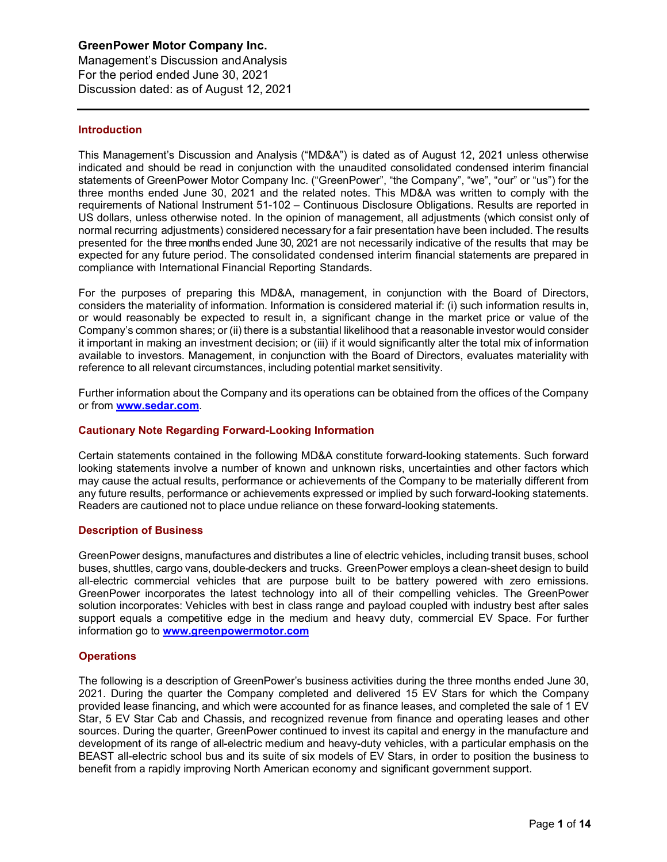Management's Discussion andAnalysis For the period ended June 30, 2021 Discussion dated: as of August 12, 2021

## **Introduction**

This Management's Discussion and Analysis ("MD&A") is dated as of August 12, 2021 unless otherwise indicated and should be read in conjunction with the unaudited consolidated condensed interim financial statements of GreenPower Motor Company Inc. ("GreenPower", "the Company", "we", "our" or "us") for the three months ended June 30, 2021 and the related notes. This MD&A was written to comply with the requirements of National Instrument 51-102 – Continuous Disclosure Obligations. Results are reported in US dollars, unless otherwise noted. In the opinion of management, all adjustments (which consist only of normal recurring adjustments) considered necessary for a fair presentation have been included. The results presented for the three months ended June 30, 2021 are not necessarily indicative of the results that may be expected for any future period. The consolidated condensed interim financial statements are prepared in compliance with International Financial Reporting Standards.

For the purposes of preparing this MD&A, management, in conjunction with the Board of Directors, considers the materiality of information. Information is considered material if: (i) such information results in, or would reasonably be expected to result in, a significant change in the market price or value of the Company's common shares; or (ii) there is a substantial likelihood that a reasonable investor would consider it important in making an investment decision; or (iii) if it would significantly alter the total mix of information available to investors. Management, in conjunction with the Board of Directors, evaluates materiality with reference to all relevant circumstances, including potential market sensitivity.

Further information about the Company and its operations can be obtained from the offices of the Company or from **[www.sedar.com](http://www.sedar.com/)**.

## **Cautionary Note Regarding Forward-Looking Information**

Certain statements contained in the following MD&A constitute forward-looking statements. Such forward looking statements involve a number of known and unknown risks, uncertainties and other factors which may cause the actual results, performance or achievements of the Company to be materially different from any future results, performance or achievements expressed or implied by such forward-looking statements. Readers are cautioned not to place undue reliance on these forward-looking statements.

## **Description of Business**

GreenPower designs, manufactures and distributes a line of electric vehicles, including transit buses, school buses, shuttles, cargo vans, double-deckers and trucks. GreenPower employs a clean-sheet design to build all-electric commercial vehicles that are purpose built to be battery powered with zero emissions. GreenPower incorporates the latest technology into all of their compelling vehicles. The GreenPower solution incorporates: Vehicles with best in class range and payload coupled with industry best after sales support equals a competitive edge in the medium and heavy duty, commercial EV Space. For further information go to **[www.greenpowermotor.com](http://www.greenpowermotor.com/)**

## **Operations**

The following is a description of GreenPower's business activities during the three months ended June 30, 2021. During the quarter the Company completed and delivered 15 EV Stars for which the Company provided lease financing, and which were accounted for as finance leases, and completed the sale of 1 EV Star, 5 EV Star Cab and Chassis, and recognized revenue from finance and operating leases and other sources. During the quarter, GreenPower continued to invest its capital and energy in the manufacture and development of its range of all-electric medium and heavy-duty vehicles, with a particular emphasis on the BEAST all-electric school bus and its suite of six models of EV Stars, in order to position the business to benefit from a rapidly improving North American economy and significant government support.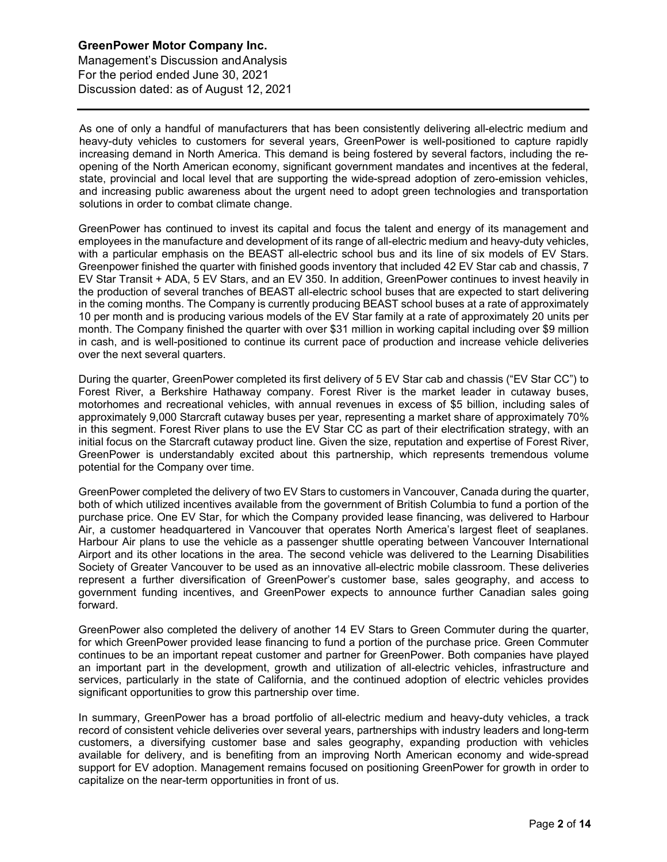Management's Discussion andAnalysis For the period ended June 30, 2021 Discussion dated: as of August 12, 2021

As one of only a handful of manufacturers that has been consistently delivering all-electric medium and heavy-duty vehicles to customers for several years, GreenPower is well-positioned to capture rapidly increasing demand in North America. This demand is being fostered by several factors, including the reopening of the North American economy, significant government mandates and incentives at the federal, state, provincial and local level that are supporting the wide-spread adoption of zero-emission vehicles, and increasing public awareness about the urgent need to adopt green technologies and transportation solutions in order to combat climate change.

GreenPower has continued to invest its capital and focus the talent and energy of its management and employees in the manufacture and development of its range of all-electric medium and heavy-duty vehicles, with a particular emphasis on the BEAST all-electric school bus and its line of six models of EV Stars. Greenpower finished the quarter with finished goods inventory that included 42 EV Star cab and chassis, 7 EV Star Transit + ADA, 5 EV Stars, and an EV 350. In addition, GreenPower continues to invest heavily in the production of several tranches of BEAST all-electric school buses that are expected to start delivering in the coming months. The Company is currently producing BEAST school buses at a rate of approximately 10 per month and is producing various models of the EV Star family at a rate of approximately 20 units per month. The Company finished the quarter with over \$31 million in working capital including over \$9 million in cash, and is well-positioned to continue its current pace of production and increase vehicle deliveries over the next several quarters.

During the quarter, GreenPower completed its first delivery of 5 EV Star cab and chassis ("EV Star CC") to Forest River, a Berkshire Hathaway company. Forest River is the market leader in cutaway buses, motorhomes and recreational vehicles, with annual revenues in excess of \$5 billion, including sales of approximately 9,000 Starcraft cutaway buses per year, representing a market share of approximately 70% in this segment. Forest River plans to use the EV Star CC as part of their electrification strategy, with an initial focus on the Starcraft cutaway product line. Given the size, reputation and expertise of Forest River, GreenPower is understandably excited about this partnership, which represents tremendous volume potential for the Company over time.

GreenPower completed the delivery of two EV Stars to customers in Vancouver, Canada during the quarter, both of which utilized incentives available from the government of British Columbia to fund a portion of the purchase price. One EV Star, for which the Company provided lease financing, was delivered to Harbour Air, a customer headquartered in Vancouver that operates North America's largest fleet of seaplanes. Harbour Air plans to use the vehicle as a passenger shuttle operating between Vancouver International Airport and its other locations in the area. The second vehicle was delivered to the Learning Disabilities Society of Greater Vancouver to be used as an innovative all-electric mobile classroom. These deliveries represent a further diversification of GreenPower's customer base, sales geography, and access to government funding incentives, and GreenPower expects to announce further Canadian sales going forward.

GreenPower also completed the delivery of another 14 EV Stars to Green Commuter during the quarter, for which GreenPower provided lease financing to fund a portion of the purchase price. Green Commuter continues to be an important repeat customer and partner for GreenPower. Both companies have played an important part in the development, growth and utilization of all-electric vehicles, infrastructure and services, particularly in the state of California, and the continued adoption of electric vehicles provides significant opportunities to grow this partnership over time.

In summary, GreenPower has a broad portfolio of all-electric medium and heavy-duty vehicles, a track record of consistent vehicle deliveries over several years, partnerships with industry leaders and long-term customers, a diversifying customer base and sales geography, expanding production with vehicles available for delivery, and is benefiting from an improving North American economy and wide-spread support for EV adoption. Management remains focused on positioning GreenPower for growth in order to capitalize on the near-term opportunities in front of us.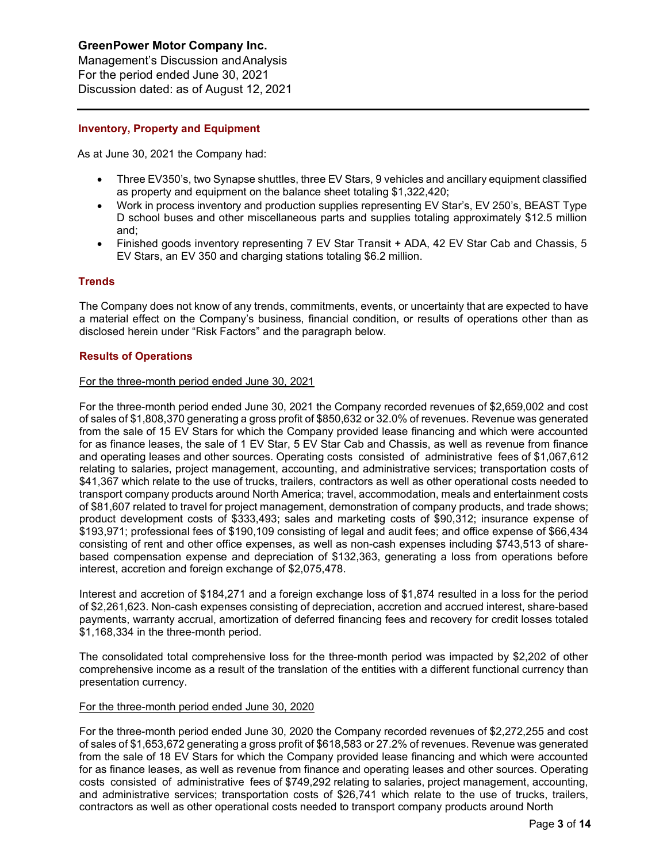Management's Discussion andAnalysis For the period ended June 30, 2021 Discussion dated: as of August 12, 2021

## **Inventory, Property and Equipment**

As at June 30, 2021 the Company had:

- Three EV350's, two Synapse shuttles, three EV Stars, 9 vehicles and ancillary equipment classified as property and equipment on the balance sheet totaling \$1,322,420;
- Work in process inventory and production supplies representing EV Star's, EV 250's, BEAST Type D school buses and other miscellaneous parts and supplies totaling approximately \$12.5 million and;
- Finished goods inventory representing 7 EV Star Transit + ADA, 42 EV Star Cab and Chassis, 5 EV Stars, an EV 350 and charging stations totaling \$6.2 million.

## **Trends**

The Company does not know of any trends, commitments, events, or uncertainty that are expected to have a material effect on the Company's business, financial condition, or results of operations other than as disclosed herein under "Risk Factors" and the paragraph below.

## **Results of Operations**

## For the three-month period ended June 30, 2021

For the three-month period ended June 30, 2021 the Company recorded revenues of \$2,659,002 and cost of sales of \$1,808,370 generating a gross profit of \$850,632 or 32.0% of revenues. Revenue was generated from the sale of 15 EV Stars for which the Company provided lease financing and which were accounted for as finance leases, the sale of 1 EV Star, 5 EV Star Cab and Chassis, as well as revenue from finance and operating leases and other sources. Operating costs consisted of administrative fees of \$1,067,612 relating to salaries, project management, accounting, and administrative services; transportation costs of \$41,367 which relate to the use of trucks, trailers, contractors as well as other operational costs needed to transport company products around North America; travel, accommodation, meals and entertainment costs of \$81,607 related to travel for project management, demonstration of company products, and trade shows; product development costs of \$333,493; sales and marketing costs of \$90,312; insurance expense of \$193,971; professional fees of \$190,109 consisting of legal and audit fees; and office expense of \$66,434 consisting of rent and other office expenses, as well as non-cash expenses including \$743,513 of sharebased compensation expense and depreciation of \$132,363, generating a loss from operations before interest, accretion and foreign exchange of \$2,075,478.

Interest and accretion of \$184,271 and a foreign exchange loss of \$1,874 resulted in a loss for the period of \$2,261,623. Non-cash expenses consisting of depreciation, accretion and accrued interest, share-based payments, warranty accrual, amortization of deferred financing fees and recovery for credit losses totaled \$1,168,334 in the three-month period.

The consolidated total comprehensive loss for the three-month period was impacted by \$2,202 of other comprehensive income as a result of the translation of the entities with a different functional currency than presentation currency.

## For the three-month period ended June 30, 2020

For the three-month period ended June 30, 2020 the Company recorded revenues of \$2,272,255 and cost of sales of \$1,653,672 generating a gross profit of \$618,583 or 27.2% of revenues. Revenue was generated from the sale of 18 EV Stars for which the Company provided lease financing and which were accounted for as finance leases, as well as revenue from finance and operating leases and other sources. Operating costs consisted of administrative fees of \$749,292 relating to salaries, project management, accounting, and administrative services; transportation costs of \$26,741 which relate to the use of trucks, trailers, contractors as well as other operational costs needed to transport company products around North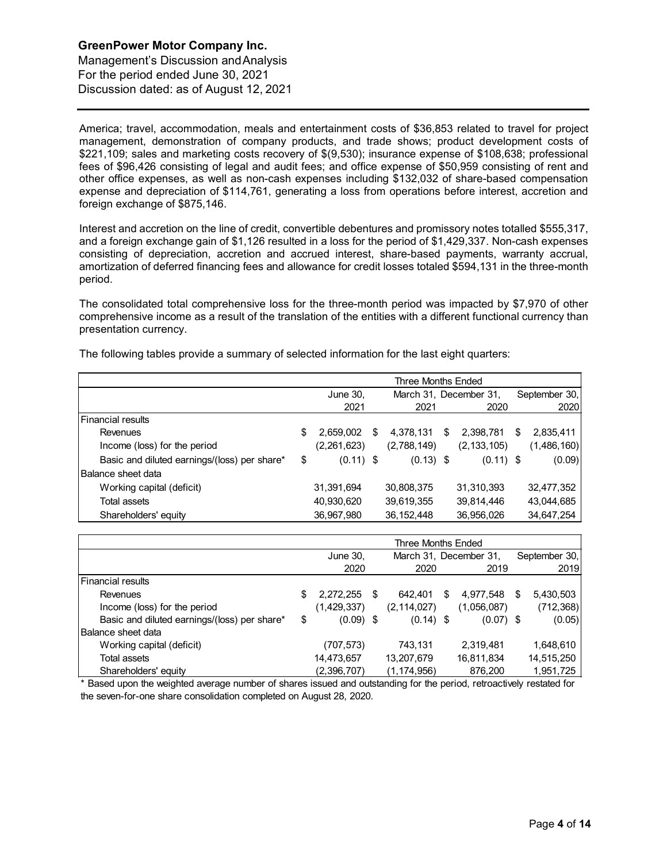Management's Discussion andAnalysis For the period ended June 30, 2021 Discussion dated: as of August 12, 2021

America; travel, accommodation, meals and entertainment costs of \$36,853 related to travel for project management, demonstration of company products, and trade shows; product development costs of \$221,109; sales and marketing costs recovery of \$(9,530); insurance expense of \$108,638; professional fees of \$96,426 consisting of legal and audit fees; and office expense of \$50,959 consisting of rent and other office expenses, as well as non-cash expenses including \$132,032 of share-based compensation expense and depreciation of \$114,761, generating a loss from operations before interest, accretion and foreign exchange of \$875,146.

Interest and accretion on the line of credit, convertible debentures and promissory notes totalled \$555,317, and a foreign exchange gain of \$1,126 resulted in a loss for the period of \$1,429,337. Non-cash expenses consisting of depreciation, accretion and accrued interest, share-based payments, warranty accrual, amortization of deferred financing fees and allowance for credit losses totaled \$594,131 in the three-month period.

The consolidated total comprehensive loss for the three-month period was impacted by \$7,970 of other comprehensive income as a result of the translation of the entities with a different functional currency than presentation currency.

The following tables provide a summary of selected information for the last eight quarters:

|                                              | Three Months Ended |             |    |              |                        |               |               |               |
|----------------------------------------------|--------------------|-------------|----|--------------|------------------------|---------------|---------------|---------------|
|                                              |                    | June 30,    |    |              | March 31, December 31, |               | September 30. |               |
|                                              |                    | 2021        |    | 2021         |                        | 2020          |               | 2020          |
| Financial results                            |                    |             |    |              |                        |               |               |               |
| Revenues                                     | \$                 | 2,659,002   | \$ | 4,378,131    | S                      | 2,398,781     | S             | 2,835,411     |
| Income (loss) for the period                 |                    | (2,261,623) |    | (2,788,149)  |                        | (2, 133, 105) |               | (1, 486, 160) |
| Basic and diluted earnings/(loss) per share* | \$                 | $(0.11)$ \$ |    | $(0.13)$ \$  |                        | $(0.11)$ \$   |               | (0.09)        |
| IBalance sheet data                          |                    |             |    |              |                        |               |               |               |
| Working capital (deficit)                    |                    | 31,391,694  |    | 30,808,375   |                        | 31,310,393    |               | 32,477,352    |
| Total assets                                 |                    | 40,930,620  |    | 39,619,355   |                        | 39,814,446    |               | 43,044,685    |
| Shareholders' equity                         |                    | 36,967,980  |    | 36, 152, 448 |                        | 36,956,026    |               | 34,647,254    |

|                                              | Three Months Ended |             |    |               |                        |             |    |               |  |
|----------------------------------------------|--------------------|-------------|----|---------------|------------------------|-------------|----|---------------|--|
|                                              |                    | June 30,    |    |               | March 31, December 31, |             |    | September 30, |  |
|                                              |                    | 2020        |    | 2020          |                        | 2019        |    | 2019          |  |
| <b>Financial results</b>                     |                    |             |    |               |                        |             |    |               |  |
| <b>Revenues</b>                              | S                  | 2,272,255   | \$ | 642.401       | S                      | 4,977,548   | S. | 5,430,503     |  |
| Income (loss) for the period                 |                    | (1,429,337) |    | (2, 114, 027) |                        | (1,056,087) |    | (712, 368)    |  |
| Basic and diluted earnings/(loss) per share* | \$                 | $(0.09)$ \$ |    | $(0.14)$ \$   |                        | $(0.07)$ \$ |    | (0.05)        |  |
| <b>IBalance sheet data</b>                   |                    |             |    |               |                        |             |    |               |  |
| Working capital (deficit)                    |                    | (707,573)   |    | 743,131       |                        | 2,319,481   |    | 1,648,610     |  |
| Total assets                                 |                    | 14,473,657  |    | 13,207,679    |                        | 16,811,834  |    | 14,515,250    |  |
| Shareholders' equity                         |                    | (2,396,707) |    | (1, 174, 956) |                        | 876,200     |    | 1,951,725     |  |

\* Based upon the weighted average number of shares issued and outstanding for the period, retroactively restated for the seven-for-one share consolidation completed on August 28, 2020.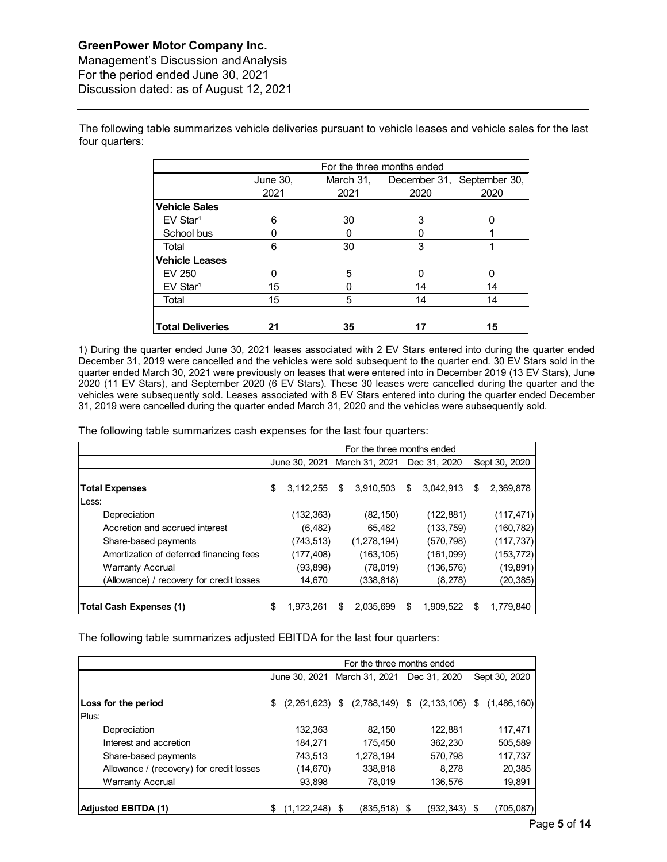Management's Discussion andAnalysis For the period ended June 30, 2021 Discussion dated: as of August 12, 2021

The following table summarizes vehicle deliveries pursuant to vehicle leases and vehicle sales for the last four quarters:

|                         | For the three months ended |                            |      |      |  |  |  |  |  |  |
|-------------------------|----------------------------|----------------------------|------|------|--|--|--|--|--|--|
|                         | June 30,                   | December 31, September 30, |      |      |  |  |  |  |  |  |
|                         | 2021                       | 2021                       | 2020 | 2020 |  |  |  |  |  |  |
| <b>Vehicle Sales</b>    |                            |                            |      |      |  |  |  |  |  |  |
| EV Star <sup>1</sup>    | 6                          | 30                         | 3    |      |  |  |  |  |  |  |
| School bus              |                            |                            |      |      |  |  |  |  |  |  |
| Total                   | 6                          | 30                         | 3    |      |  |  |  |  |  |  |
| <b>Vehicle Leases</b>   |                            |                            |      |      |  |  |  |  |  |  |
| EV 250                  | n                          | 5                          |      | ი    |  |  |  |  |  |  |
| EV Star <sup>1</sup>    | 15                         |                            | 14   | 14   |  |  |  |  |  |  |
| Total                   | 15                         | 5                          | 14   | 14   |  |  |  |  |  |  |
|                         |                            |                            |      |      |  |  |  |  |  |  |
| <b>Total Deliveries</b> | 21                         | 35                         |      | 15   |  |  |  |  |  |  |

1) During the quarter ended June 30, 2021 leases associated with 2 EV Stars entered into during the quarter ended December 31, 2019 were cancelled and the vehicles were sold subsequent to the quarter end. 30 EV Stars sold in the quarter ended March 30, 2021 were previously on leases that were entered into in December 2019 (13 EV Stars), June 2020 (11 EV Stars), and September 2020 (6 EV Stars). These 30 leases were cancelled during the quarter and the vehicles were subsequently sold. Leases associated with 8 EV Stars entered into during the quarter ended December 31, 2019 were cancelled during the quarter ended March 31, 2020 and the vehicles were subsequently sold.

The following table summarizes cash expenses for the last four quarters:

|                                          | For the three months ended |           |    |                              |    |              |    |               |
|------------------------------------------|----------------------------|-----------|----|------------------------------|----|--------------|----|---------------|
|                                          |                            |           |    | June 30, 2021 March 31, 2021 |    | Dec 31, 2020 |    | Sept 30, 2020 |
| <b>Total Expenses</b>                    | \$                         | 3,112,255 | \$ | 3,910,503                    | \$ | 3,042,913    | \$ | 2,369,878     |
| Less:<br>Depreciation                    |                            | (132,363) |    | (82, 150)                    |    | (122, 881)   |    | (117, 471)    |
| Accretion and accrued interest           |                            | (6, 482)  |    | 65,482                       |    | (133, 759)   |    | (160, 782)    |
| Share-based payments                     |                            | (743,513) |    | (1, 278, 194)                |    | (570, 798)   |    | (117, 737)    |
| Amortization of deferred financing fees  |                            | (177,408) |    | (163, 105)                   |    | (161,099)    |    | (153, 772)    |
| <b>Warranty Accrual</b>                  |                            | (93, 898) |    | (78, 019)                    |    | (136, 576)   |    | (19, 891)     |
| (Allowance) / recovery for credit losses |                            | 14,670    |    | (338, 818)                   |    | (8,278)      |    | (20, 385)     |
|                                          |                            |           |    |                              |    |              |    |               |
| Total Cash Expenses (1)                  | \$                         | 1,973,261 | S  | 2.035.699                    | \$ | 1.909.522    | S  | 1,779,840     |

The following table summarizes adjusted EBITDA for the last four quarters:

|                                          | For the three months ended |               |      |                                                 |  |              |    |               |
|------------------------------------------|----------------------------|---------------|------|-------------------------------------------------|--|--------------|----|---------------|
|                                          |                            | June 30, 2021 |      | March 31, 2021                                  |  | Dec 31, 2020 |    | Sept 30, 2020 |
| Loss for the period<br>Plus:             | \$                         |               |      | $(2,261,623)$ \$ $(2,788,149)$ \$ $(2,133,106)$ |  |              | \$ | (1,486,160)   |
| Depreciation                             |                            | 132,363       |      | 82,150                                          |  | 122.881      |    | 117,471       |
| Interest and accretion                   |                            | 184.271       |      | 175.450                                         |  | 362,230      |    | 505,589       |
| Share-based payments                     |                            | 743,513       |      | 1,278,194                                       |  | 570,798      |    | 117,737       |
| Allowance / (recovery) for credit losses |                            | (14, 670)     |      | 338.818                                         |  | 8.278        |    | 20,385        |
| <b>Warranty Accrual</b>                  |                            | 93,898        |      | 78,019                                          |  | 136,576      |    | 19,891        |
|                                          |                            |               |      |                                                 |  |              |    |               |
| <b>Adjusted EBITDA (1)</b>               |                            | (1,122,248)   | - \$ | (835, 518)                                      |  | (932, 343)   |    | (705,087)     |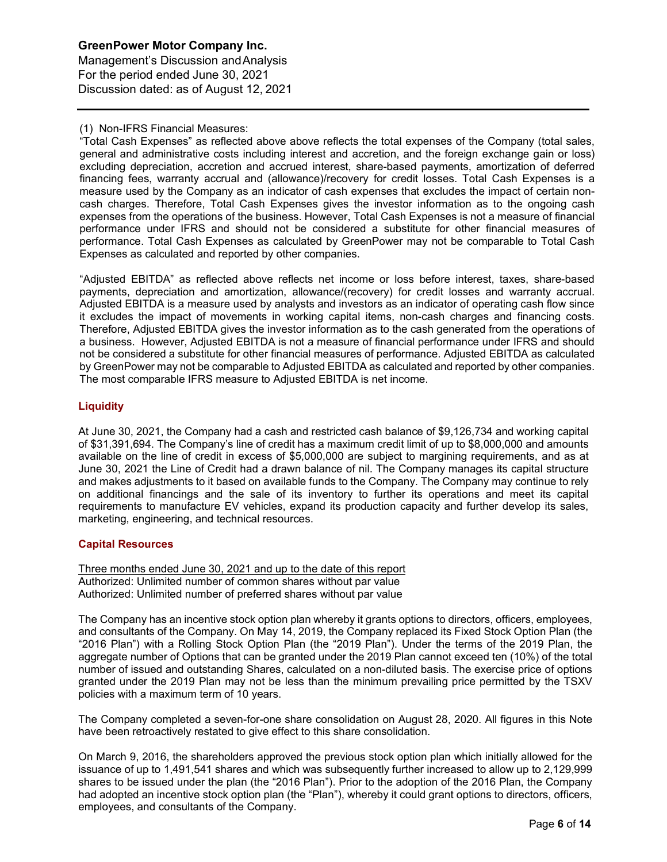**GreenPower Motor Company Inc.**  Management's Discussion andAnalysis For the period ended June 30, 2021 Discussion dated: as of August 12, 2021

## (1) Non-IFRS Financial Measures:

"Total Cash Expenses" as reflected above above reflects the total expenses of the Company (total sales, general and administrative costs including interest and accretion, and the foreign exchange gain or loss) excluding depreciation, accretion and accrued interest, share-based payments, amortization of deferred financing fees, warranty accrual and (allowance)/recovery for credit losses. Total Cash Expenses is a measure used by the Company as an indicator of cash expenses that excludes the impact of certain noncash charges. Therefore, Total Cash Expenses gives the investor information as to the ongoing cash expenses from the operations of the business. However, Total Cash Expenses is not a measure of financial performance under IFRS and should not be considered a substitute for other financial measures of performance. Total Cash Expenses as calculated by GreenPower may not be comparable to Total Cash Expenses as calculated and reported by other companies.

"Adjusted EBITDA" as reflected above reflects net income or loss before interest, taxes, share-based payments, depreciation and amortization, allowance/(recovery) for credit losses and warranty accrual. Adjusted EBITDA is a measure used by analysts and investors as an indicator of operating cash flow since it excludes the impact of movements in working capital items, non-cash charges and financing costs. Therefore, Adjusted EBITDA gives the investor information as to the cash generated from the operations of a business. However, Adjusted EBITDA is not a measure of financial performance under IFRS and should not be considered a substitute for other financial measures of performance. Adjusted EBITDA as calculated by GreenPower may not be comparable to Adjusted EBITDA as calculated and reported by other companies. The most comparable IFRS measure to Adjusted EBITDA is net income.

## **Liquidity**

At June 30, 2021, the Company had a cash and restricted cash balance of \$9,126,734 and working capital of \$31,391,694. The Company's line of credit has a maximum credit limit of up to \$8,000,000 and amounts available on the line of credit in excess of \$5,000,000 are subject to margining requirements, and as at June 30, 2021 the Line of Credit had a drawn balance of nil. The Company manages its capital structure and makes adjustments to it based on available funds to the Company. The Company may continue to rely on additional financings and the sale of its inventory to further its operations and meet its capital requirements to manufacture EV vehicles, expand its production capacity and further develop its sales, marketing, engineering, and technical resources.

## **Capital Resources**

Three months ended June 30, 2021 and up to the date of this report Authorized: Unlimited number of common shares without par value Authorized: Unlimited number of preferred shares without par value

The Company has an incentive stock option plan whereby it grants options to directors, officers, employees, and consultants of the Company. On May 14, 2019, the Company replaced its Fixed Stock Option Plan (the "2016 Plan") with a Rolling Stock Option Plan (the "2019 Plan"). Under the terms of the 2019 Plan, the aggregate number of Options that can be granted under the 2019 Plan cannot exceed ten (10%) of the total number of issued and outstanding Shares, calculated on a non-diluted basis. The exercise price of options granted under the 2019 Plan may not be less than the minimum prevailing price permitted by the TSXV policies with a maximum term of 10 years.

The Company completed a seven-for-one share consolidation on August 28, 2020. All figures in this Note have been retroactively restated to give effect to this share consolidation.

On March 9, 2016, the shareholders approved the previous stock option plan which initially allowed for the issuance of up to 1,491,541 shares and which was subsequently further increased to allow up to 2,129,999 shares to be issued under the plan (the "2016 Plan"). Prior to the adoption of the 2016 Plan, the Company had adopted an incentive stock option plan (the "Plan"), whereby it could grant options to directors, officers, employees, and consultants of the Company.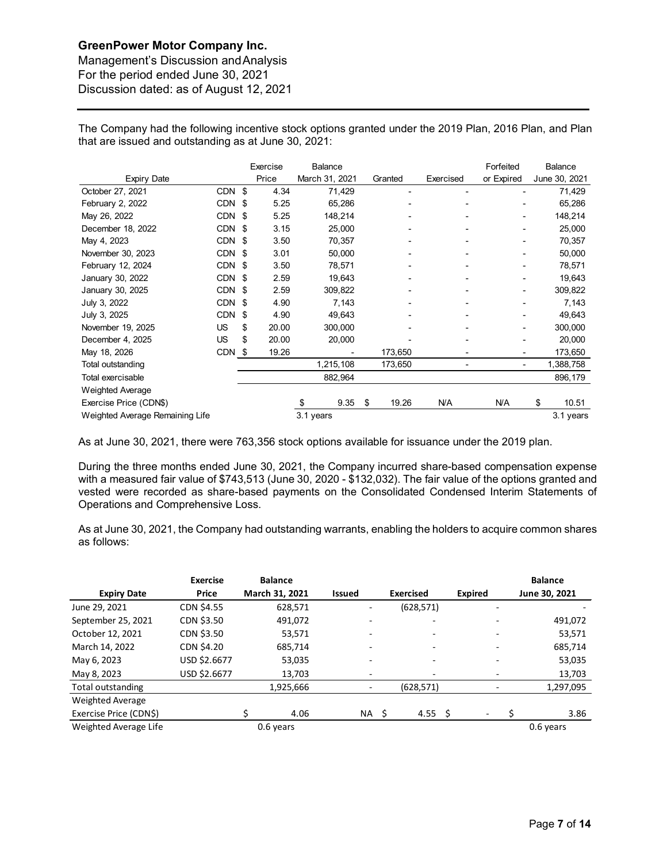Management's Discussion andAnalysis For the period ended June 30, 2021 Discussion dated: as of August 12, 2021

The Company had the following incentive stock options granted under the 2019 Plan, 2016 Plan, and Plan that are issued and outstanding as at June 30, 2021:

|                                 |            |     | Exercise | Balance        |             |           | Forfeited  | Balance       |
|---------------------------------|------------|-----|----------|----------------|-------------|-----------|------------|---------------|
| <b>Expiry Date</b>              |            |     | Price    | March 31, 2021 | Granted     | Exercised | or Expired | June 30, 2021 |
| October 27, 2021                | <b>CDN</b> | \$  | 4.34     | 71,429         | -           |           |            | 71,429        |
| February 2, 2022                | <b>CDN</b> | -\$ | 5.25     | 65,286         |             |           |            | 65,286        |
| May 26, 2022                    | CDN        | -\$ | 5.25     | 148,214        |             |           |            | 148,214       |
| December 18, 2022               | CDN \$     |     | 3.15     | 25,000         |             |           |            | 25,000        |
| May 4, 2023                     | CDN        | -\$ | 3.50     | 70,357         |             |           |            | 70,357        |
| November 30, 2023               | <b>CDN</b> | -\$ | 3.01     | 50,000         |             |           |            | 50,000        |
| February 12, 2024               | CDN        | -\$ | 3.50     | 78,571         |             |           |            | 78,571        |
| January 30, 2022                | CDN \$     |     | 2.59     | 19,643         |             |           |            | 19,643        |
| January 30, 2025                | CDN        | -\$ | 2.59     | 309,822        |             |           |            | 309,822       |
| July 3, 2022                    | <b>CDN</b> | \$  | 4.90     | 7,143          |             |           |            | 7,143         |
| July 3, 2025                    | <b>CDN</b> | \$  | 4.90     | 49,643         |             |           |            | 49,643        |
| November 19, 2025               | US         | \$  | 20.00    | 300,000        |             |           |            | 300,000       |
| December 4, 2025                | US         | \$  | 20.00    | 20,000         |             |           |            | 20,000        |
| May 18, 2026                    | CDN \$     |     | 19.26    |                | 173,650     |           |            | 173,650       |
| Total outstanding               |            |     |          | 1,215,108      | 173,650     |           |            | 1,388,758     |
| Total exercisable               |            |     |          | 882,964        |             |           |            | 896,179       |
| <b>Weighted Average</b>         |            |     |          |                |             |           |            |               |
| Exercise Price (CDN\$)          |            |     |          | \$<br>9.35     | \$<br>19.26 | N/A       | N/A        | \$<br>10.51   |
| Weighted Average Remaining Life |            |     |          | 3.1 years      |             |           |            | 3.1 years     |

As at June 30, 2021, there were 763,356 stock options available for issuance under the 2019 plan.

During the three months ended June 30, 2021, the Company incurred share-based compensation expense with a measured fair value of \$743,513 (June 30, 2020 - \$132,032). The fair value of the options granted and vested were recorded as share-based payments on the Consolidated Condensed Interim Statements of Operations and Comprehensive Loss.

As at June 30, 2021, the Company had outstanding warrants, enabling the holders to acquire common shares as follows:

|                        | Exercise          | <b>Balance</b> |               |                  |                          | <b>Balance</b> |
|------------------------|-------------------|----------------|---------------|------------------|--------------------------|----------------|
| <b>Expiry Date</b>     | Price             | March 31, 2021 | <b>Issued</b> | <b>Exercised</b> | <b>Expired</b>           | June 30, 2021  |
| June 29, 2021          | <b>CDN \$4.55</b> | 628,571        | Ξ.            | (628, 571)       | $\overline{\phantom{0}}$ |                |
| September 25, 2021     | CDN \$3.50        | 491,072        |               | ۰                |                          | 491,072        |
| October 12, 2021       | CDN \$3.50        | 53,571         |               |                  |                          | 53,571         |
| March 14, 2022         | CDN \$4.20        | 685,714        |               |                  |                          | 685,714        |
| May 6, 2023            | USD \$2.6677      | 53,035         |               |                  |                          | 53,035         |
| May 8, 2023            | USD \$2.6677      | 13,703         |               |                  |                          | 13,703         |
| Total outstanding      |                   | 1,925,666      |               | (628, 571)       |                          | 1,297,095      |
| Weighted Average       |                   |                |               |                  |                          |                |
| Exercise Price (CDN\$) |                   | 4.06           | NA            | 4.55 \$<br>- \$  |                          | 3.86           |
| Weighted Average Life  |                   | 0.6 years      |               |                  |                          | 0.6 years      |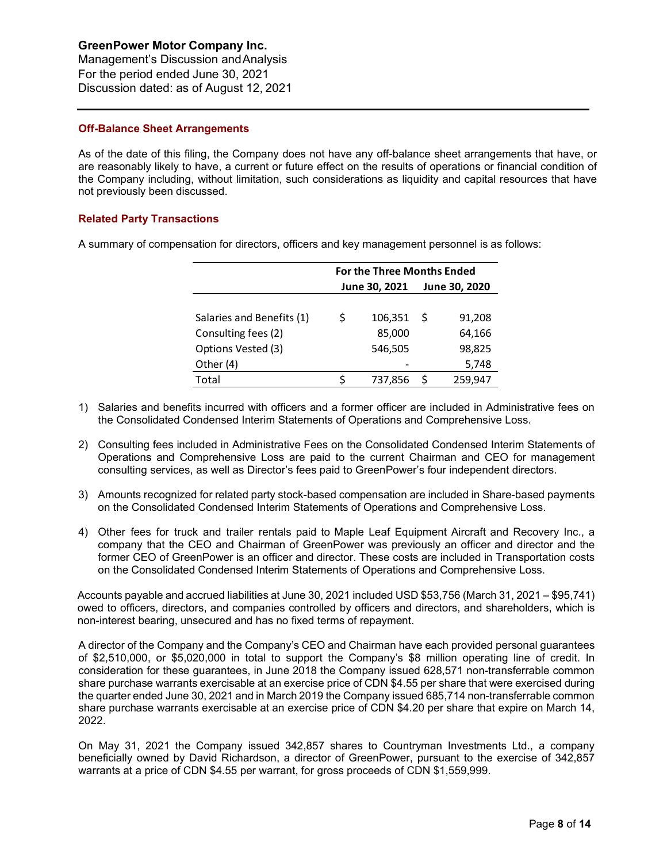Management's Discussion andAnalysis For the period ended June 30, 2021 Discussion dated: as of August 12, 2021

## **Off-Balance Sheet Arrangements**

As of the date of this filing, the Company does not have any off-balance sheet arrangements that have, or are reasonably likely to have, a current or future effect on the results of operations or financial condition of the Company including, without limitation, such considerations as liquidity and capital resources that have not previously been discussed.

## **Related Party Transactions**

A summary of compensation for directors, officers and key management personnel is as follows:

|                           | <b>For the Three Months Ended</b> |               |   |               |  |  |  |  |
|---------------------------|-----------------------------------|---------------|---|---------------|--|--|--|--|
|                           |                                   | June 30, 2021 |   | June 30, 2020 |  |  |  |  |
|                           |                                   |               |   |               |  |  |  |  |
| Salaries and Benefits (1) | Ś                                 | 106,351       | S | 91,208        |  |  |  |  |
| Consulting fees (2)       |                                   | 85,000        |   | 64,166        |  |  |  |  |
| Options Vested (3)        |                                   | 546,505       |   | 98,825        |  |  |  |  |
| Other (4)                 |                                   |               |   | 5,748         |  |  |  |  |
| Total                     |                                   | 737,856       |   | 259,947       |  |  |  |  |

- 1) Salaries and benefits incurred with officers and a former officer are included in Administrative fees on the Consolidated Condensed Interim Statements of Operations and Comprehensive Loss.
- 2) Consulting fees included in Administrative Fees on the Consolidated Condensed Interim Statements of Operations and Comprehensive Loss are paid to the current Chairman and CEO for management consulting services, as well as Director's fees paid to GreenPower's four independent directors.
- 3) Amounts recognized for related party stock-based compensation are included in Share-based payments on the Consolidated Condensed Interim Statements of Operations and Comprehensive Loss.
- 4) Other fees for truck and trailer rentals paid to Maple Leaf Equipment Aircraft and Recovery Inc., a company that the CEO and Chairman of GreenPower was previously an officer and director and the former CEO of GreenPower is an officer and director. These costs are included in Transportation costs on the Consolidated Condensed Interim Statements of Operations and Comprehensive Loss.

Accounts payable and accrued liabilities at June 30, 2021 included USD \$53,756 (March 31, 2021 – \$95,741) owed to officers, directors, and companies controlled by officers and directors, and shareholders, which is non-interest bearing, unsecured and has no fixed terms of repayment.

A director of the Company and the Company's CEO and Chairman have each provided personal guarantees of \$2,510,000, or \$5,020,000 in total to support the Company's \$8 million operating line of credit. In consideration for these guarantees, in June 2018 the Company issued 628,571 non-transferrable common share purchase warrants exercisable at an exercise price of CDN \$4.55 per share that were exercised during the quarter ended June 30, 2021 and in March 2019 the Company issued 685,714 non-transferrable common share purchase warrants exercisable at an exercise price of CDN \$4.20 per share that expire on March 14, 2022.

On May 31, 2021 the Company issued 342,857 shares to Countryman Investments Ltd., a company beneficially owned by David Richardson, a director of GreenPower, pursuant to the exercise of 342,857 warrants at a price of CDN \$4.55 per warrant, for gross proceeds of CDN \$1,559,999.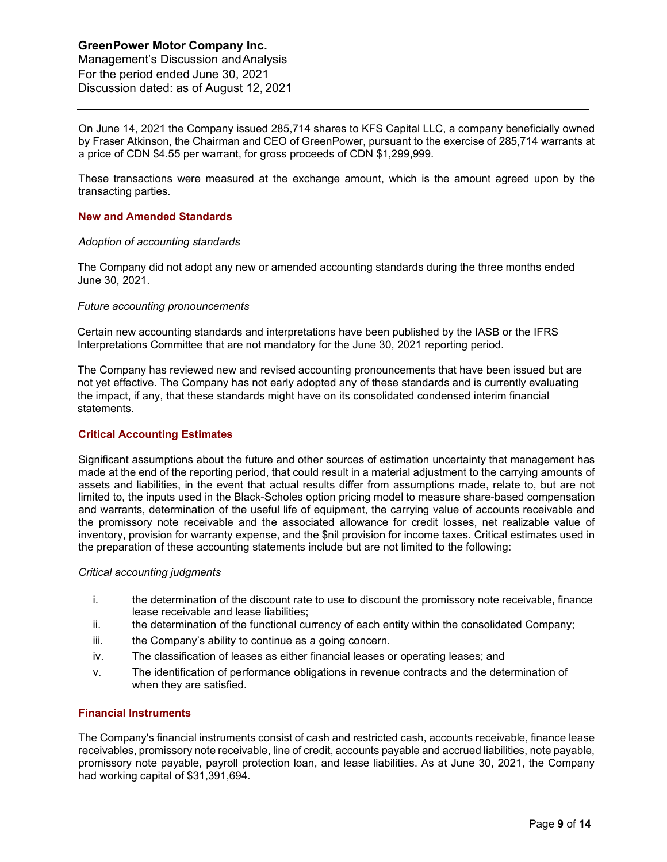Management's Discussion andAnalysis For the period ended June 30, 2021 Discussion dated: as of August 12, 2021

On June 14, 2021 the Company issued 285,714 shares to KFS Capital LLC, a company beneficially owned by Fraser Atkinson, the Chairman and CEO of GreenPower, pursuant to the exercise of 285,714 warrants at a price of CDN \$4.55 per warrant, for gross proceeds of CDN \$1,299,999.

These transactions were measured at the exchange amount, which is the amount agreed upon by the transacting parties.

## **New and Amended Standards**

#### *Adoption of accounting standards*

The Company did not adopt any new or amended accounting standards during the three months ended June 30, 2021.

#### *Future accounting pronouncements*

Certain new accounting standards and interpretations have been published by the IASB or the IFRS Interpretations Committee that are not mandatory for the June 30, 2021 reporting period.

The Company has reviewed new and revised accounting pronouncements that have been issued but are not yet effective. The Company has not early adopted any of these standards and is currently evaluating the impact, if any, that these standards might have on its consolidated condensed interim financial statements.

## **Critical Accounting Estimates**

Significant assumptions about the future and other sources of estimation uncertainty that management has made at the end of the reporting period, that could result in a material adjustment to the carrying amounts of assets and liabilities, in the event that actual results differ from assumptions made, relate to, but are not limited to, the inputs used in the Black-Scholes option pricing model to measure share-based compensation and warrants, determination of the useful life of equipment, the carrying value of accounts receivable and the promissory note receivable and the associated allowance for credit losses, net realizable value of inventory, provision for warranty expense, and the \$nil provision for income taxes. Critical estimates used in the preparation of these accounting statements include but are not limited to the following:

## *Critical accounting judgments*

- i. the determination of the discount rate to use to discount the promissory note receivable, finance lease receivable and lease liabilities;
- ii. the determination of the functional currency of each entity within the consolidated Company;
- iii. the Company's ability to continue as a going concern.
- iv. The classification of leases as either financial leases or operating leases; and
- v. The identification of performance obligations in revenue contracts and the determination of when they are satisfied.

## **Financial Instruments**

The Company's financial instruments consist of cash and restricted cash, accounts receivable, finance lease receivables, promissory note receivable, line of credit, accounts payable and accrued liabilities, note payable, promissory note payable, payroll protection loan, and lease liabilities. As at June 30, 2021, the Company had working capital of \$31,391,694.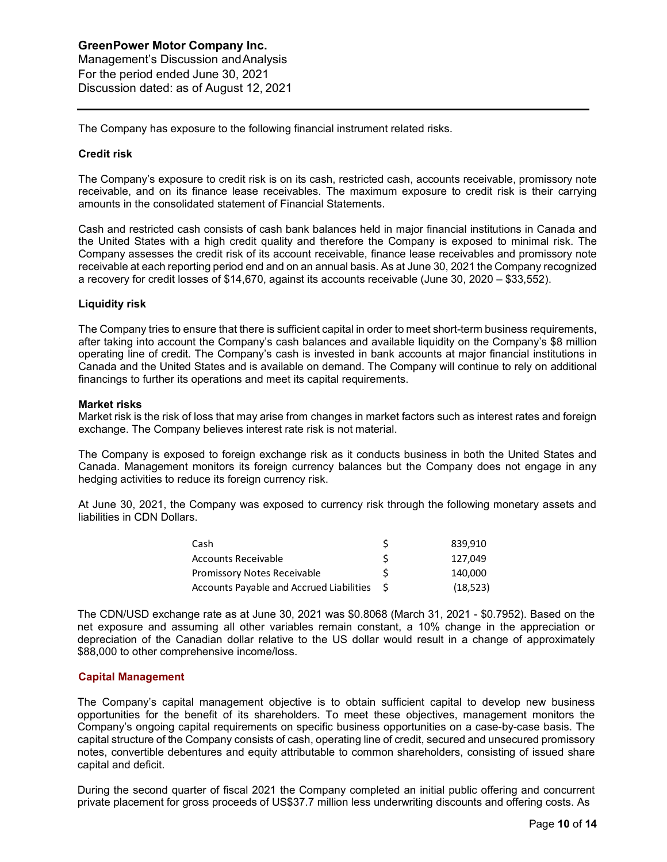The Company has exposure to the following financial instrument related risks.

## **Credit risk**

The Company's exposure to credit risk is on its cash, restricted cash, accounts receivable, promissory note receivable, and on its finance lease receivables. The maximum exposure to credit risk is their carrying amounts in the consolidated statement of Financial Statements.

Cash and restricted cash consists of cash bank balances held in major financial institutions in Canada and the United States with a high credit quality and therefore the Company is exposed to minimal risk. The Company assesses the credit risk of its account receivable, finance lease receivables and promissory note receivable at each reporting period end and on an annual basis. As at June 30, 2021 the Company recognized a recovery for credit losses of \$14,670, against its accounts receivable (June 30, 2020 – \$33,552).

#### **Liquidity risk**

The Company tries to ensure that there is sufficient capital in order to meet short-term business requirements, after taking into account the Company's cash balances and available liquidity on the Company's \$8 million operating line of credit. The Company's cash is invested in bank accounts at major financial institutions in Canada and the United States and is available on demand. The Company will continue to rely on additional financings to further its operations and meet its capital requirements.

#### **Market risks**

Market risk is the risk of loss that may arise from changes in market factors such as interest rates and foreign exchange. The Company believes interest rate risk is not material.

The Company is exposed to foreign exchange risk as it conducts business in both the United States and Canada. Management monitors its foreign currency balances but the Company does not engage in any hedging activities to reduce its foreign currency risk.

At June 30, 2021, the Company was exposed to currency risk through the following monetary assets and liabilities in CDN Dollars.

| Cash                                     |     | 839.910   |
|------------------------------------------|-----|-----------|
| <b>Accounts Receivable</b>               | S   | 127.049   |
| <b>Promissory Notes Receivable</b>       |     | 140.000   |
| Accounts Payable and Accrued Liabilities | - S | (18, 523) |

The CDN/USD exchange rate as at June 30, 2021 was \$0.8068 (March 31, 2021 - \$0.7952). Based on the net exposure and assuming all other variables remain constant, a 10% change in the appreciation or depreciation of the Canadian dollar relative to the US dollar would result in a change of approximately \$88,000 to other comprehensive income/loss.

## **Capital Management**

The Company's capital management objective is to obtain sufficient capital to develop new business opportunities for the benefit of its shareholders. To meet these objectives, management monitors the Company's ongoing capital requirements on specific business opportunities on a case-by-case basis. The capital structure of the Company consists of cash, operating line of credit, secured and unsecured promissory notes, convertible debentures and equity attributable to common shareholders, consisting of issued share capital and deficit.

During the second quarter of fiscal 2021 the Company completed an initial public offering and concurrent private placement for gross proceeds of US\$37.7 million less underwriting discounts and offering costs. As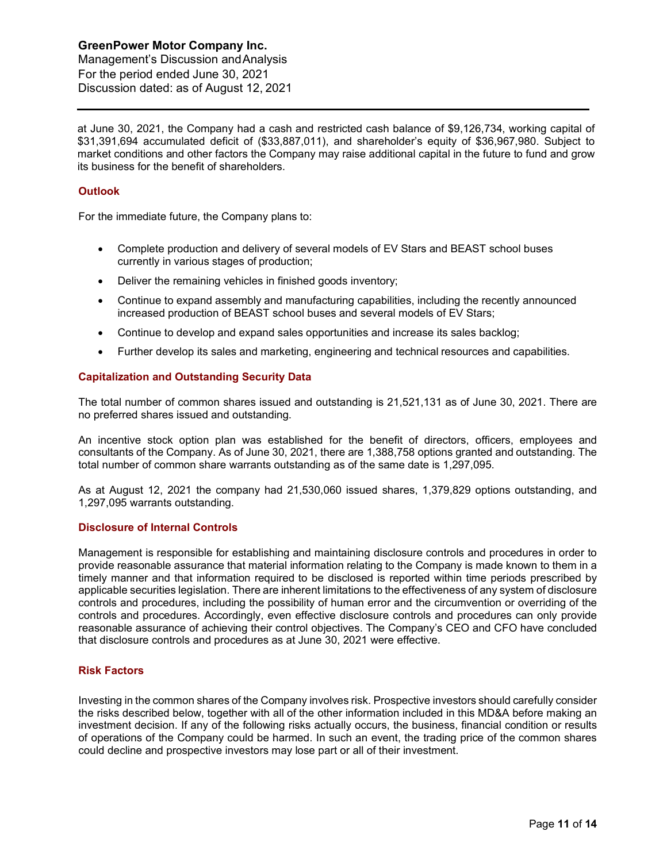Management's Discussion andAnalysis For the period ended June 30, 2021 Discussion dated: as of August 12, 2021

at June 30, 2021, the Company had a cash and restricted cash balance of \$9,126,734, working capital of \$31,391,694 accumulated deficit of (\$33,887,011), and shareholder's equity of \$36,967,980. Subject to market conditions and other factors the Company may raise additional capital in the future to fund and grow its business for the benefit of shareholders.

## **Outlook**

For the immediate future, the Company plans to:

- Complete production and delivery of several models of EV Stars and BEAST school buses currently in various stages of production;
- Deliver the remaining vehicles in finished goods inventory;
- Continue to expand assembly and manufacturing capabilities, including the recently announced increased production of BEAST school buses and several models of EV Stars;
- Continue to develop and expand sales opportunities and increase its sales backlog;
- Further develop its sales and marketing, engineering and technical resources and capabilities.

## **Capitalization and Outstanding Security Data**

The total number of common shares issued and outstanding is 21,521,131 as of June 30, 2021. There are no preferred shares issued and outstanding.

An incentive stock option plan was established for the benefit of directors, officers, employees and consultants of the Company. As of June 30, 2021, there are 1,388,758 options granted and outstanding. The total number of common share warrants outstanding as of the same date is 1,297,095.

As at August 12, 2021 the company had 21,530,060 issued shares, 1,379,829 options outstanding, and 1,297,095 warrants outstanding.

## **Disclosure of Internal Controls**

Management is responsible for establishing and maintaining disclosure controls and procedures in order to provide reasonable assurance that material information relating to the Company is made known to them in a timely manner and that information required to be disclosed is reported within time periods prescribed by applicable securities legislation. There are inherent limitations to the effectiveness of any system of disclosure controls and procedures, including the possibility of human error and the circumvention or overriding of the controls and procedures. Accordingly, even effective disclosure controls and procedures can only provide reasonable assurance of achieving their control objectives. The Company's CEO and CFO have concluded that disclosure controls and procedures as at June 30, 2021 were effective.

## **Risk Factors**

Investing in the common shares of the Company involves risk. Prospective investors should carefully consider the risks described below, together with all of the other information included in this MD&A before making an investment decision. If any of the following risks actually occurs, the business, financial condition or results of operations of the Company could be harmed. In such an event, the trading price of the common shares could decline and prospective investors may lose part or all of their investment.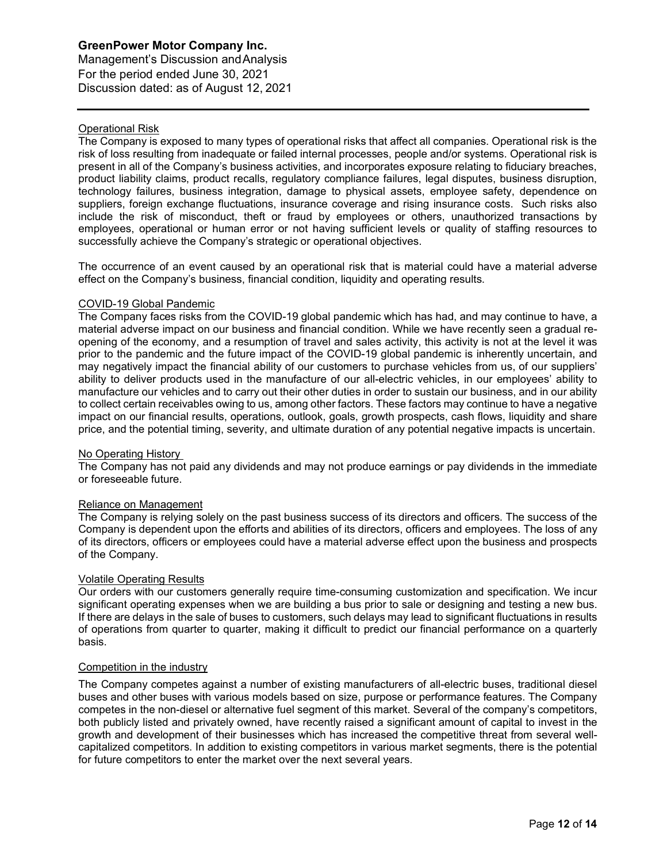Management's Discussion andAnalysis For the period ended June 30, 2021 Discussion dated: as of August 12, 2021

## Operational Risk

The Company is exposed to many types of operational risks that affect all companies. Operational risk is the risk of loss resulting from inadequate or failed internal processes, people and/or systems. Operational risk is present in all of the Company's business activities, and incorporates exposure relating to fiduciary breaches, product liability claims, product recalls, regulatory compliance failures, legal disputes, business disruption, technology failures, business integration, damage to physical assets, employee safety, dependence on suppliers, foreign exchange fluctuations, insurance coverage and rising insurance costs. Such risks also include the risk of misconduct, theft or fraud by employees or others, unauthorized transactions by employees, operational or human error or not having sufficient levels or quality of staffing resources to successfully achieve the Company's strategic or operational objectives.

The occurrence of an event caused by an operational risk that is material could have a material adverse effect on the Company's business, financial condition, liquidity and operating results.

## COVID-19 Global Pandemic

The Company faces risks from the COVID-19 global pandemic which has had, and may continue to have, a material adverse impact on our business and financial condition. While we have recently seen a gradual reopening of the economy, and a resumption of travel and sales activity, this activity is not at the level it was prior to the pandemic and the future impact of the COVID-19 global pandemic is inherently uncertain, and may negatively impact the financial ability of our customers to purchase vehicles from us, of our suppliers' ability to deliver products used in the manufacture of our all-electric vehicles, in our employees' ability to manufacture our vehicles and to carry out their other duties in order to sustain our business, and in our ability to collect certain receivables owing to us, among other factors. These factors may continue to have a negative impact on our financial results, operations, outlook, goals, growth prospects, cash flows, liquidity and share price, and the potential timing, severity, and ultimate duration of any potential negative impacts is uncertain.

## No Operating History

The Company has not paid any dividends and may not produce earnings or pay dividends in the immediate or foreseeable future.

## Reliance on Management

The Company is relying solely on the past business success of its directors and officers. The success of the Company is dependent upon the efforts and abilities of its directors, officers and employees. The loss of any of its directors, officers or employees could have a material adverse effect upon the business and prospects of the Company.

## Volatile Operating Results

Our orders with our customers generally require time-consuming customization and specification. We incur significant operating expenses when we are building a bus prior to sale or designing and testing a new bus. If there are delays in the sale of buses to customers, such delays may lead to significant fluctuations in results of operations from quarter to quarter, making it difficult to predict our financial performance on a quarterly basis.

## Competition in the industry

The Company competes against a number of existing manufacturers of all-electric buses, traditional diesel buses and other buses with various models based on size, purpose or performance features. The Company competes in the non-diesel or alternative fuel segment of this market. Several of the company's competitors, both publicly listed and privately owned, have recently raised a significant amount of capital to invest in the growth and development of their businesses which has increased the competitive threat from several wellcapitalized competitors. In addition to existing competitors in various market segments, there is the potential for future competitors to enter the market over the next several years.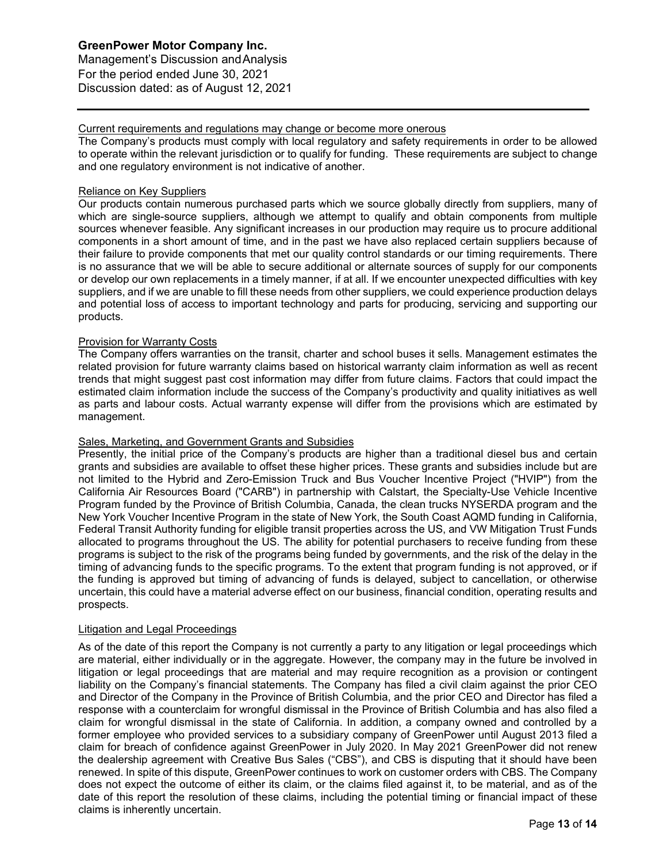Management's Discussion andAnalysis For the period ended June 30, 2021 Discussion dated: as of August 12, 2021

## Current requirements and regulations may change or become more onerous

The Company's products must comply with local regulatory and safety requirements in order to be allowed to operate within the relevant jurisdiction or to qualify for funding. These requirements are subject to change and one regulatory environment is not indicative of another.

## Reliance on Key Suppliers

Our products contain numerous purchased parts which we source globally directly from suppliers, many of which are single-source suppliers, although we attempt to qualify and obtain components from multiple sources whenever feasible. Any significant increases in our production may require us to procure additional components in a short amount of time, and in the past we have also replaced certain suppliers because of their failure to provide components that met our quality control standards or our timing requirements. There is no assurance that we will be able to secure additional or alternate sources of supply for our components or develop our own replacements in a timely manner, if at all. If we encounter unexpected difficulties with key suppliers, and if we are unable to fill these needs from other suppliers, we could experience production delays and potential loss of access to important technology and parts for producing, servicing and supporting our products.

## Provision for Warranty Costs

The Company offers warranties on the transit, charter and school buses it sells. Management estimates the related provision for future warranty claims based on historical warranty claim information as well as recent trends that might suggest past cost information may differ from future claims. Factors that could impact the estimated claim information include the success of the Company's productivity and quality initiatives as well as parts and labour costs. Actual warranty expense will differ from the provisions which are estimated by management.

## Sales, Marketing, and Government Grants and Subsidies

Presently, the initial price of the Company's products are higher than a traditional diesel bus and certain grants and subsidies are available to offset these higher prices. These grants and subsidies include but are not limited to the Hybrid and Zero-Emission Truck and Bus Voucher Incentive Project ("HVIP") from the California Air Resources Board ("CARB") in partnership with Calstart, the Specialty-Use Vehicle Incentive Program funded by the Province of British Columbia, Canada, the clean trucks NYSERDA program and the New York Voucher Incentive Program in the state of New York, the South Coast AQMD funding in California, Federal Transit Authority funding for eligible transit properties across the US, and VW Mitigation Trust Funds allocated to programs throughout the US. The ability for potential purchasers to receive funding from these programs is subject to the risk of the programs being funded by governments, and the risk of the delay in the timing of advancing funds to the specific programs. To the extent that program funding is not approved, or if the funding is approved but timing of advancing of funds is delayed, subject to cancellation, or otherwise uncertain, this could have a material adverse effect on our business, financial condition, operating results and prospects.

## Litigation and Legal Proceedings

As of the date of this report the Company is not currently a party to any litigation or legal proceedings which are material, either individually or in the aggregate. However, the company may in the future be involved in litigation or legal proceedings that are material and may require recognition as a provision or contingent liability on the Company's financial statements. The Company has filed a civil claim against the prior CEO and Director of the Company in the Province of British Columbia, and the prior CEO and Director has filed a response with a counterclaim for wrongful dismissal in the Province of British Columbia and has also filed a claim for wrongful dismissal in the state of California. In addition, a company owned and controlled by a former employee who provided services to a subsidiary company of GreenPower until August 2013 filed a claim for breach of confidence against GreenPower in July 2020. In May 2021 GreenPower did not renew the dealership agreement with Creative Bus Sales ("CBS"), and CBS is disputing that it should have been renewed. In spite of this dispute, GreenPower continues to work on customer orders with CBS. The Company does not expect the outcome of either its claim, or the claims filed against it, to be material, and as of the date of this report the resolution of these claims, including the potential timing or financial impact of these claims is inherently uncertain.